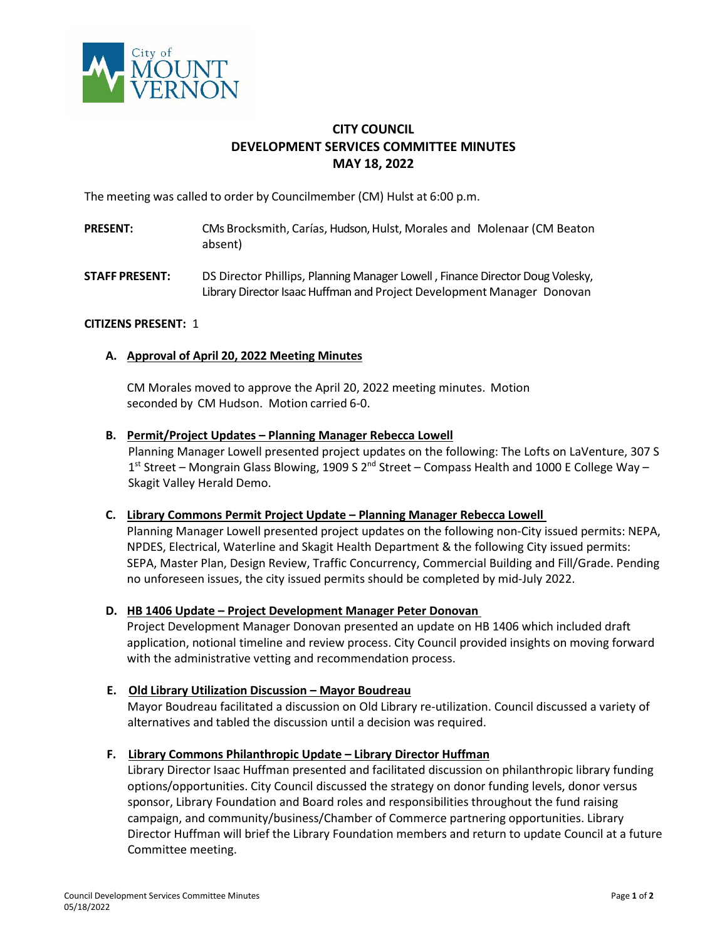

# **CITY COUNCIL DEVELOPMENT SERVICES COMMITTEE MINUTES MAY 18, 2022**

The meeting was called to order by Councilmember (CM) Hulst at 6:00 p.m.

- **PRESENT:** CMs Brocksmith, Carías, Hudson, Hulst, Morales and Molenaar (CM Beaton absent)
- **STAFF PRESENT:** DS Director Phillips, Planning Manager Lowell , Finance Director Doug Volesky, Library Director Isaac Huffman and Project Development Manager Donovan

## **CITIZENS PRESENT:** 1

### **A. Approval of April 20, 2022 Meeting Minutes**

CM Morales moved to approve the April 20, 2022 meeting minutes. Motion seconded by CM Hudson. Motion carried 6-0.

### **B. Permit/Project Updates – Planning Manager Rebecca Lowell**

Planning Manager Lowell presented project updates on the following: The Lofts on LaVenture, 307 S 1st Street – Mongrain Glass Blowing, 1909 S 2<sup>nd</sup> Street – Compass Health and 1000 E College Way – Skagit Valley Herald Demo.

### **C. Library Commons Permit Project Update – Planning Manager Rebecca Lowell**

Planning Manager Lowell presented project updates on the following non-City issued permits: NEPA, NPDES, Electrical, Waterline and Skagit Health Department & the following City issued permits: SEPA, Master Plan, Design Review, Traffic Concurrency, Commercial Building and Fill/Grade. Pending no unforeseen issues, the city issued permits should be completed by mid-July 2022.

### **D. HB 1406 Update – Project Development Manager Peter Donovan**

Project Development Manager Donovan presented an update on HB 1406 which included draft application, notional timeline and review process. City Council provided insights on moving forward with the administrative vetting and recommendation process.

### **E. Old Library Utilization Discussion – Mayor Boudreau**

 Mayor Boudreau facilitated a discussion on Old Library re-utilization. Council discussed a variety of alternatives and tabled the discussion until a decision was required.

### **F. Library Commons Philanthropic Update – Library Director Huffman**

 Library Director Isaac Huffman presented and facilitated discussion on philanthropic library funding options/opportunities. City Council discussed the strategy on donor funding levels, donor versus sponsor, Library Foundation and Board roles and responsibilities throughout the fund raising campaign, and community/business/Chamber of Commerce partnering opportunities. Library Director Huffman will brief the Library Foundation members and return to update Council at a future Committee meeting.